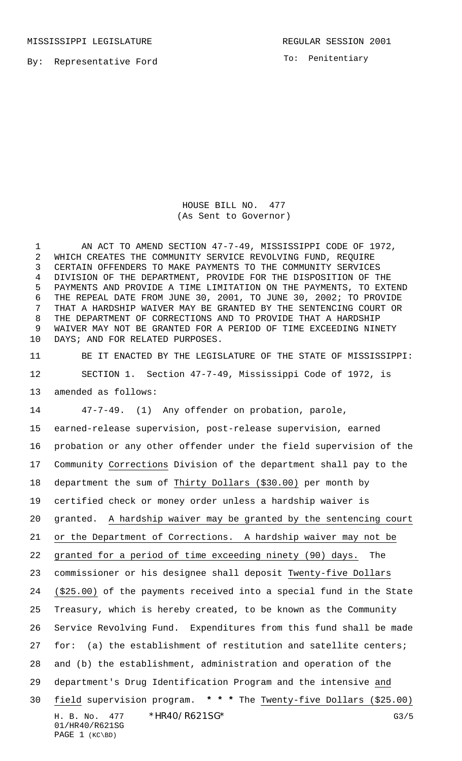To: Penitentiary

HOUSE BILL NO. 477 (As Sent to Governor)

 AN ACT TO AMEND SECTION 47-7-49, MISSISSIPPI CODE OF 1972, WHICH CREATES THE COMMUNITY SERVICE REVOLVING FUND, REQUIRE CERTAIN OFFENDERS TO MAKE PAYMENTS TO THE COMMUNITY SERVICES DIVISION OF THE DEPARTMENT, PROVIDE FOR THE DISPOSITION OF THE PAYMENTS AND PROVIDE A TIME LIMITATION ON THE PAYMENTS, TO EXTEND THE REPEAL DATE FROM JUNE 30, 2001, TO JUNE 30, 2002; TO PROVIDE THAT A HARDSHIP WAIVER MAY BE GRANTED BY THE SENTENCING COURT OR THE DEPARTMENT OF CORRECTIONS AND TO PROVIDE THAT A HARDSHIP WAIVER MAY NOT BE GRANTED FOR A PERIOD OF TIME EXCEEDING NINETY DAYS; AND FOR RELATED PURPOSES.

 BE IT ENACTED BY THE LEGISLATURE OF THE STATE OF MISSISSIPPI: SECTION 1. Section 47-7-49, Mississippi Code of 1972, is amended as follows:

H. B. No. 477 \* HR40/R621SG\* G3/5 01/HR40/R621SG PAGE 1 (KC\BD) 47-7-49. (1) Any offender on probation, parole, earned-release supervision, post-release supervision, earned probation or any other offender under the field supervision of the Community Corrections Division of the department shall pay to the department the sum of Thirty Dollars (\$30.00) per month by certified check or money order unless a hardship waiver is granted. A hardship waiver may be granted by the sentencing court or the Department of Corrections. A hardship waiver may not be granted for a period of time exceeding ninety (90) days. The commissioner or his designee shall deposit Twenty-five Dollars 24 (\$25.00) of the payments received into a special fund in the State Treasury, which is hereby created, to be known as the Community Service Revolving Fund. Expenditures from this fund shall be made 27 for: (a) the establishment of restitution and satellite centers; and (b) the establishment, administration and operation of the department's Drug Identification Program and the intensive and field supervision program. **\* \* \*** The Twenty-five Dollars (\$25.00)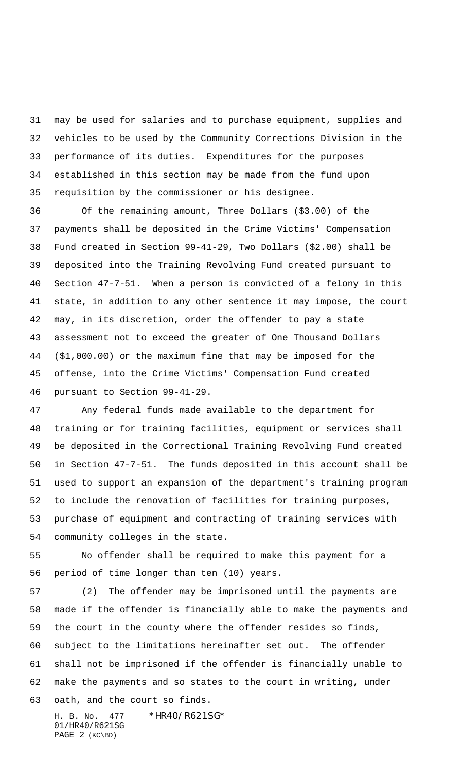may be used for salaries and to purchase equipment, supplies and vehicles to be used by the Community Corrections Division in the performance of its duties. Expenditures for the purposes established in this section may be made from the fund upon requisition by the commissioner or his designee.

 Of the remaining amount, Three Dollars (\$3.00) of the payments shall be deposited in the Crime Victims' Compensation Fund created in Section 99-41-29, Two Dollars (\$2.00) shall be deposited into the Training Revolving Fund created pursuant to Section 47-7-51. When a person is convicted of a felony in this state, in addition to any other sentence it may impose, the court may, in its discretion, order the offender to pay a state assessment not to exceed the greater of One Thousand Dollars (\$1,000.00) or the maximum fine that may be imposed for the offense, into the Crime Victims' Compensation Fund created pursuant to Section 99-41-29.

 Any federal funds made available to the department for training or for training facilities, equipment or services shall be deposited in the Correctional Training Revolving Fund created in Section 47-7-51. The funds deposited in this account shall be used to support an expansion of the department's training program to include the renovation of facilities for training purposes, purchase of equipment and contracting of training services with community colleges in the state.

 No offender shall be required to make this payment for a period of time longer than ten (10) years.

 (2) The offender may be imprisoned until the payments are made if the offender is financially able to make the payments and the court in the county where the offender resides so finds, subject to the limitations hereinafter set out. The offender shall not be imprisoned if the offender is financially unable to make the payments and so states to the court in writing, under oath, and the court so finds.

H. B. No. 477 \* HR40/R621SG\* 01/HR40/R621SG PAGE 2 (KC\BD)